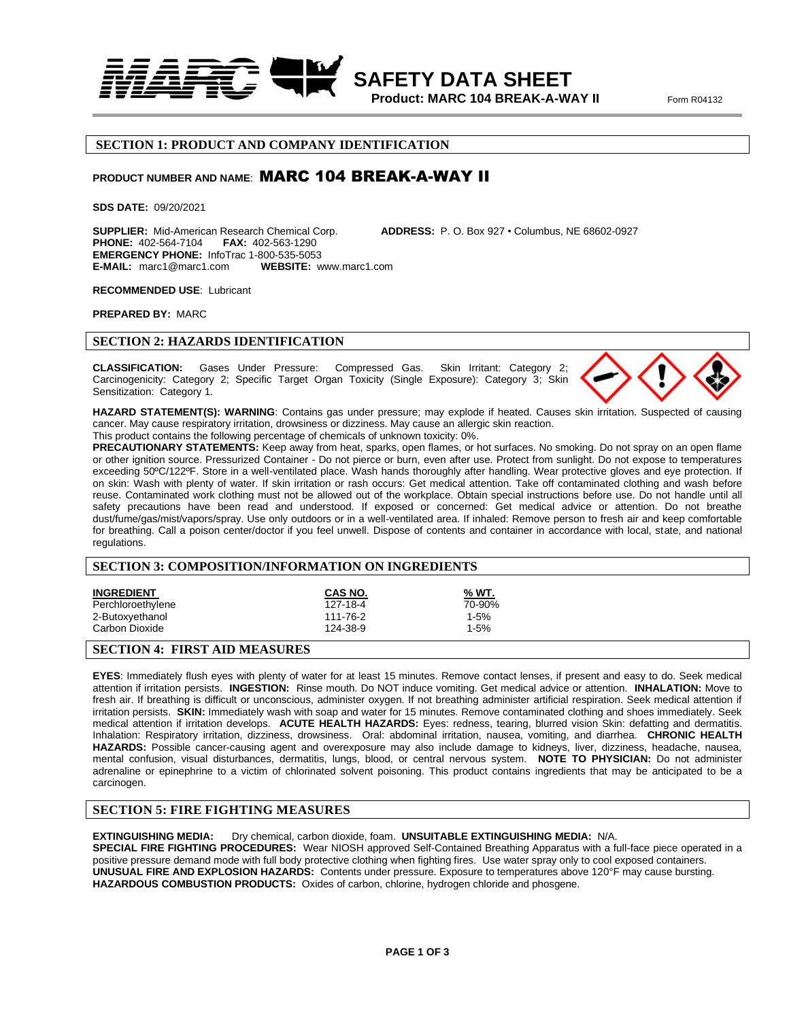

**Product: MARC 104 BREAK-A-WAY II** Form R04132

#### **SECTION 1: PRODUCT AND COMPANY IDENTIFICATION**

# **PRODUCT NUMBER AND NAME**: MARC 104 BREAK-A-WAY II

**SDS DATE:** 09/20/2021

**SUPPLIER:** Mid-American Research Chemical Corp. **ADDRESS:** P. O. Box 927 • Columbus, NE 68602-0927 **PHONE: 402-564-7104 EMERGENCY PHONE:** InfoTrac 1-800-535-5053 **E-MAIL:** marc1@marc1.com

#### **RECOMMENDED USE**: Lubricant

**PREPARED BY:** MARC

## **SECTION 2: HAZARDS IDENTIFICATION**

**CLASSIFICATION:** Gases Under Pressure: Compressed Gas.Skin Irritant: Category 2; Carcinogenicity: Category 2; Specific Target Organ Toxicity (Single Exposure): Category 3; Skin Sensitization: Category 1.



**HAZARD STATEMENT(S): WARNING**: Contains gas under pressure; may explode if heated. Causes skin irritation. Suspected of causing cancer. May cause respiratory irritation, drowsiness or dizziness. May cause an allergic skin reaction.

This product contains the following percentage of chemicals of unknown toxicity: 0%.

**PRECAUTIONARY STATEMENTS:** Keep away from heat, sparks, open flames, or hot surfaces. No smoking. Do not spray on an open flame or other ignition source. Pressurized Container - Do not pierce or burn, even after use. Protect from sunlight. Do not expose to temperatures exceeding 50ºC/122ºF. Store in a well-ventilated place. Wash hands thoroughly after handling. Wear protective gloves and eye protection. If on skin: Wash with plenty of water. If skin irritation or rash occurs: Get medical attention. Take off contaminated clothing and wash before reuse. Contaminated work clothing must not be allowed out of the workplace. Obtain special instructions before use. Do not handle until all safety precautions have been read and understood. If exposed or concerned: Get medical advice or attention. Do not breathe dust/fume/gas/mist/vapors/spray. Use only outdoors or in a well-ventilated area. If inhaled: Remove person to fresh air and keep comfortable for breathing. Call a poison center/doctor if you feel unwell. Dispose of contents and container in accordance with local, state, and national regulations.

## **SECTION 3: COMPOSITION/INFORMATION ON INGREDIENTS**

| <b>INGREDIENT</b> | CAS NO.  | % WT.    |
|-------------------|----------|----------|
| Perchloroethylene | 127-18-4 | 70-90%   |
| 2-Butoxyethanol   | 111-76-2 | $1 - 5%$ |
| Carbon Dioxide    | 124-38-9 | $1 - 5%$ |

#### **SECTION 4: FIRST AID MEASURES**

**EYES**: Immediately flush eyes with plenty of water for at least 15 minutes. Remove contact lenses, if present and easy to do. Seek medical attention if irritation persists. **INGESTION:** Rinse mouth. Do NOT induce vomiting. Get medical advice or attention. **INHALATION:** Move to fresh air. If breathing is difficult or unconscious, administer oxygen. If not breathing administer artificial respiration. Seek medical attention if irritation persists. **SKIN:** Immediately wash with soap and water for 15 minutes. Remove contaminated clothing and shoes immediately. Seek medical attention if irritation develops. **ACUTE HEALTH HAZARDS:** Eyes: redness, tearing, blurred vision Skin: defatting and dermatitis. Inhalation: Respiratory irritation, dizziness, drowsiness. Oral: abdominal irritation, nausea, vomiting, and diarrhea. **CHRONIC HEALTH HAZARDS:** Possible cancer-causing agent and overexposure may also include damage to kidneys, liver, dizziness, headache, nausea, mental confusion, visual disturbances, dermatitis, lungs, blood, or central nervous system. **NOTE TO PHYSICIAN:** Do not administer adrenaline or epinephrine to a victim of chlorinated solvent poisoning. This product contains ingredients that may be anticipated to be a carcinogen.

# **SECTION 5: FIRE FIGHTING MEASURES**

**EXTINGUISHING MEDIA:** Dry chemical, carbon dioxide, foam. **UNSUITABLE EXTINGUISHING MEDIA:** N/A. **SPECIAL FIRE FIGHTING PROCEDURES:** Wear NIOSH approved Self-Contained Breathing Apparatus with a full-face piece operated in a positive pressure demand mode with full body protective clothing when fighting fires. Use water spray only to cool exposed containers. **UNUSUAL FIRE AND EXPLOSION HAZARDS:** Contents under pressure. Exposure to temperatures above 120°F may cause bursting. **HAZARDOUS COMBUSTION PRODUCTS:** Oxides of carbon, chlorine, hydrogen chloride and phosgene.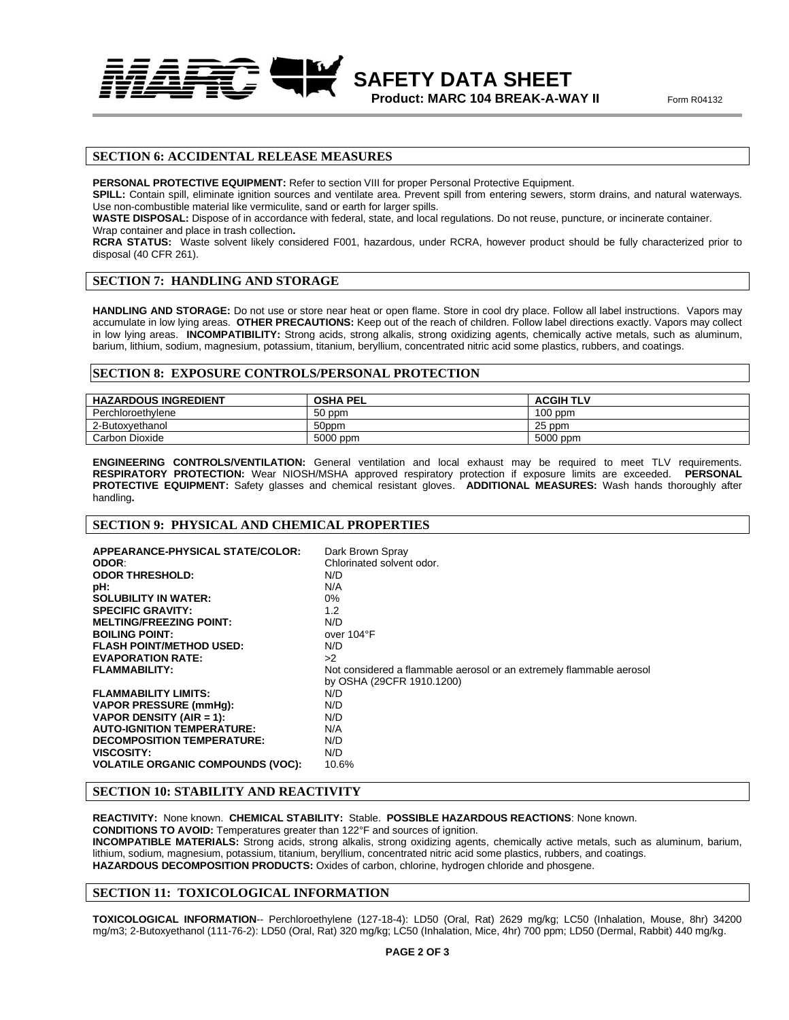**SAFETY DATA SHEET Product: MARC 104 BREAK-A-WAY II** Form R04132

## **SECTION 6: ACCIDENTAL RELEASE MEASURES**

**PERSONAL PROTECTIVE EQUIPMENT:** Refer to section VIII for proper Personal Protective Equipment.

**SPILL:** Contain spill, eliminate ignition sources and ventilate area. Prevent spill from entering sewers, storm drains, and natural waterways. Use non-combustible material like vermiculite, sand or earth for larger spills.

**WASTE DISPOSAL:** Dispose of in accordance with federal, state, and local regulations. Do not reuse, puncture, or incinerate container.

Wrap container and place in trash collection**.**

**RCRA STATUS:** Waste solvent likely considered F001, hazardous, under RCRA, however product should be fully characterized prior to disposal (40 CFR 261).

## **SECTION 7: HANDLING AND STORAGE**

**HANDLING AND STORAGE:** Do not use or store near heat or open flame. Store in cool dry place. Follow all label instructions. Vapors may accumulate in low lying areas. **OTHER PRECAUTIONS:** Keep out of the reach of children. Follow label directions exactly. Vapors may collect in low lying areas. **INCOMPATIBILITY:** Strong acids, strong alkalis, strong oxidizing agents, chemically active metals, such as aluminum, barium, lithium, sodium, magnesium, potassium, titanium, beryllium, concentrated nitric acid some plastics, rubbers, and coatings.

#### **SECTION 8: EXPOSURE CONTROLS/PERSONAL PROTECTION**

| <b>HAZARDOUS INGREDIENT</b> | <b>OSHA PEL</b> | <b>ACGIH TLV</b> |
|-----------------------------|-----------------|------------------|
| Perchloroethylene           | 50 ppm          | $100$ ppm        |
| 2-Butoxvethanol             | 50ppm           | 25 ppm           |
| Carbon Dioxide              | 5000 ppm        | 5000 ppm         |

**ENGINEERING CONTROLS/VENTILATION:** General ventilation and local exhaust may be required to meet TLV requirements. **RESPIRATORY PROTECTION:** Wear NIOSH/MSHA approved respiratory protection if exposure limits are exceeded. **PERSONAL PROTECTIVE EQUIPMENT:** Safety glasses and chemical resistant gloves. **ADDITIONAL MEASURES:** Wash hands thoroughly after handling**.**

## **SECTION 9: PHYSICAL AND CHEMICAL PROPERTIES**

| APPEARANCE-PHYSICAL STATE/COLOR:         | Dark Brown Spray                                                     |
|------------------------------------------|----------------------------------------------------------------------|
| ODOR:<br><b>ODOR THRESHOLD:</b>          | Chlorinated solvent odor.<br>N/D                                     |
|                                          |                                                                      |
| pH:                                      | N/A                                                                  |
| <b>SOLUBILITY IN WATER:</b>              | $0\%$                                                                |
| <b>SPECIFIC GRAVITY:</b>                 | 1.2                                                                  |
| <b>MELTING/FREEZING POINT:</b>           | N/D                                                                  |
| <b>BOILING POINT:</b>                    | over 104°F                                                           |
| <b>FLASH POINT/METHOD USED:</b>          | N/D                                                                  |
| <b>EVAPORATION RATE:</b>                 | >2                                                                   |
| <b>FLAMMABILITY:</b>                     | Not considered a flammable aerosol or an extremely flammable aerosol |
|                                          | by OSHA (29CFR 1910.1200)                                            |
| <b>FLAMMABILITY LIMITS:</b>              | N/D                                                                  |
| <b>VAPOR PRESSURE (mmHq):</b>            | N/D                                                                  |
| VAPOR DENSITY (AIR = 1):                 | N/D                                                                  |
| <b>AUTO-IGNITION TEMPERATURE:</b>        | N/A                                                                  |
| <b>DECOMPOSITION TEMPERATURE:</b>        | N/D                                                                  |
| VISCOSITY:                               | N/D                                                                  |
| <b>VOLATILE ORGANIC COMPOUNDS (VOC):</b> | 10.6%                                                                |

## **SECTION 10: STABILITY AND REACTIVITY**

**REACTIVITY:** None known. **CHEMICAL STABILITY:** Stable. **POSSIBLE HAZARDOUS REACTIONS**: None known. **CONDITIONS TO AVOID:** Temperatures greater than 122°F and sources of ignition. **INCOMPATIBLE MATERIALS:** Strong acids, strong alkalis, strong oxidizing agents, chemically active metals, such as aluminum, barium, lithium, sodium, magnesium, potassium, titanium, beryllium, concentrated nitric acid some plastics, rubbers, and coatings. **HAZARDOUS DECOMPOSITION PRODUCTS:** Oxides of carbon, chlorine, hydrogen chloride and phosgene.

## **SECTION 11: TOXICOLOGICAL INFORMATION**

**TOXICOLOGICAL INFORMATION**-- Perchloroethylene (127-18-4): LD50 (Oral, Rat) 2629 mg/kg; LC50 (Inhalation, Mouse, 8hr) 34200 mg/m3; 2-Butoxyethanol (111-76-2): LD50 (Oral, Rat) 320 mg/kg; LC50 (Inhalation, Mice, 4hr) 700 ppm; LD50 (Dermal, Rabbit) 440 mg/kg.